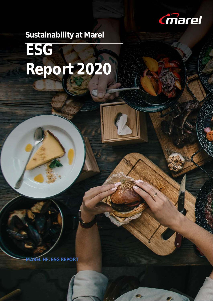

# **Sustainability at Marel ESG Report 2020**

**MAREL HF. ESG REPORT**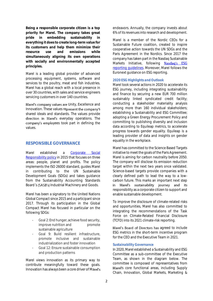**Being a responsible corporate citizen is a top priority for Marel. The company takes great pride in embedding sustainability in everything it does to create long-term value for its customers and help them minimize their resource use and emissions while simultaneously aligning its own operations with socially and environmentally accepted principles.** 

Marel is a leading global provider of advanced processing equipment, systems, software and services to the poultry, meat and fish industries. Marel has a global reach with a local presence in over 30 countries, with sales and service engineers servicing customers in over 140 countries.

Marel's company values are Unity, Excellence and Innovation. These values represent the company's shared ideals and standards. The values provide direction in Marel's everyday operations. The company's employees took part in defining the values.

# **RESPONSIBLE GOVERNANCE**

Marel established a [Corporate Social](https://marel.com/about/governance/?intref=csr-report-2018#policies)  [Responsibility](https://marel.com/about/governance/?intref=csr-report-2018#policies) policy in 2015 that focuses on three areas: people, planet and profits. The policy implements the ISO 26000 standard, guides Marel in contributing to the UN Sustainable Development Goals (SDGs) and takes guidance from the Sustainability Accounting Standards Board's (SASB's) Industrial Machinery and Goods.

Marel has been a signatory to the United Nations Global Compact since 2015 and a participant since 2017. Through its participation in the Global Compact Marel has focused in particular on the following SDGs:

- Goal 2: End hunger, achieve food security, improve nutrition and promote sustainable agriculture
- Goal 9: Build resilient infrastructure. promote inclusive and sustainable industrialization and foster innovation
- Goal 12: Ensure sustainable consumption and production patterns

Marel views innovation as its primary way to contribute meaningfully toward these goals. Innovation has always been a core driver of Marel's endeavors. Annually, the company invests about 6% of its revenues into research and development.

Marel is a member of the Nordic CEOs for a Sustainable Future coalition, created to inspire cooperative action towards the UN SDGs and the Paris Agreement in the Nordics. Since 2017 the company has taken part in the Nasdaq Sustainable Markets Initiative, following Nasdag's ESG [reporting guidelines.](https://www.nasdaq.com/docs/2019/11/26/2019-ESG-Reporting-Guide.pdf) Moreover, Marel follows the Euronext guidance on ESG reporting.

# *2020 ESG Highlights and Outlook*

Marel took several actions in 2020 to accelerate its ESG journey, including integrating sustainability and finance by securing a new EUR 700 million sustainably linked syndicated credit facility; conducting a stakeholder materiality analysis among more than 160 individual stakeholders; establishing a Sustainability and ESG Committee; adopting a Green Energy Procurement Policy and committing to publishing diversity and inclusion data according to Equileap metrics, to accelerate progress towards gender equality. Equileap is a leading provider of data and insights on gender equality in the workplace.

Marel has committed to the Science Based Targets initiative to meet the goals of the Paris Agreement. Marel is aiming for carbon neutrality before 2050. The company will disclose its emission reduction target within the next two years once validated. Science-based targets provide companies with a clearly defined path to lead the way to a lowcarbon future. This marks an important next step in Marel's sustainability journey and its responsibility as a corporate citizen to support and enable sustainable development.

To improve the disclosure of climate-related risks and opportunities, Marel has also committed to integrating the recommendations of the Task Force on Climate-Related Financial Disclosure (TCFD) into its 2021 climate-risk reporting.

Marel's Board of Directors has agreed to include ESG metrics in the short-term incentive program for the CEO and the Executive Team in 2021.

#### *Sustainability Governance*

In 2020, Marel established a Sustainability and ESG Committee as a sub-committee of the Executive Team, as shown in the diagram below. The committee is composed of representatives from Marel's core functional areas, including Supply Chain, Innovation, Global Markets, Marketing &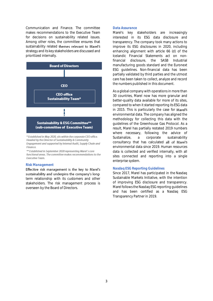Communication and Finance. The committee makes recommendations to the Executive Team for decisions on sustainability related issues. Among other roles, the committee ensures that sustainability related themes relevant to Marel's strategy and its key stakeholders are discussed and prioritized internally.



Headed by the Director of Sustainability & Community Engagement and supported by Internal Audit, Supply Chain and Finance.

\*\* Established in September 2020 representing Marel's core functional areas. The committee makes recommendations to the Executive Team.

#### *Risk Management*

Effective risk management is the key to Marel's sustainability and underpins the company's longterm relationship with its customers and other stakeholders. The risk management process is overseen by the Board of Directors.

## *Data Assurance*

Marel's key stakeholders are increasingly interested in its ESG data disclosure and transparency. The company took many actions to improve its ESG disclosures in 2020, including enhancing alignment with article 66 (d) of the Icelandic Financial Statements act on nonfinancial disclosure, the SASB Industrial manufacturing goods standard and the Euronext ESG guidelines. Non-financial data has been partially validated by third parties and the utmost care has been taken to collect, analyze and record the numbers published in this document.

As a global company with operations in more than 30 countries, Marel now has more granular and better-quality data available for more of its sites, compared to when it started reporting its ESG data in 2015. This is particularly the case for Marel's environmental data. The company has aligned the methodology for collecting this data with the guidelines of the Greenhouse Gas Protocol. As a result, Marel has partially restated 2019 numbers where necessary, following the advice of Sustainalize, a corporate sustainability consultancy that has calculated all of Marel's environmental data since 2019. Human resources data is collected and verified internally, with all sites connected and reporting into a single enterprise system.

# *Nasdaq ESG Reporting Guidelines*

Since 2017, Marel has participated in the Nasdaq Sustainable Markets Initiative, with the intention of improving ESG disclosure and transparency. Marel followsthe Nasdaq ESG reporting guidelines and has been certified as a Nasdaq ESG Transparency Partner in 2019.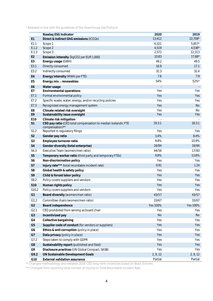\* Restated in line with the guidelines of the Greenhouse Gas Protocol

|                 | Nasdaq ESG Indicator                                                             | 2020     | 2019      |
|-----------------|----------------------------------------------------------------------------------|----------|-----------|
| E1              | Direct & indirect GhG emissions (tCO2e)                                          | 13,412   | $22,708*$ |
| E1.1            | Scope 1                                                                          | 6,321    | $5,857*$  |
| E.1.2           | Scope 2                                                                          | 4,519    | $4,538*$  |
| E.1.3           | Scope 3                                                                          | 2,572    | 12,313    |
| E <sub>2</sub>  | Emission intensity (kgCO2 per EUR 1,000)                                         | 10.83    | $17.68*$  |
| E3              | Energy usage (GWH)                                                               | 49.2     | 49.5      |
| E3.1            | Directly consumed                                                                | 16.9     | 17.1      |
| E3.2            | Indirectly consumed                                                              | 32.3     | 32.4      |
| E <sub>4</sub>  | Energy intensity (MWH per FTE)                                                   | 7.6      | 7.9       |
| E <sub>5</sub>  | Energy mix - renewables                                                          | 54%      | 52%*      |
| E <sub>6</sub>  | Water usage                                                                      |          |           |
| E7              | Environmental operations                                                         | Yes      | Yes       |
| E7.1            | Formal environmental policy                                                      | Yes      | Yes       |
| E7.2            | Specific waste, water, energy, and/or recycling policies                         | Yes      | Yes       |
| E7.3            | Recognized energy management system                                              | Yes      | <b>No</b> |
| E8              | Climate related risk oversight                                                   | Yes      | <b>No</b> |
| E9              | Sustainability issue oversight                                                   | Yes      | Yes       |
| E <sub>10</sub> | Climate risk mitigation                                                          |          |           |
| S1              | CEO pay ratio (CEO total compensation to median Icelandic FTE<br>compensation)** | 19.3:1   | 18.3:1    |
| S1.2            | Reported in regulatory filings                                                   | Yes      | Yes       |
| S <sub>2</sub>  | Gender pay ratio                                                                 | 3.4%     | 8.4%      |
| S3              | Employee turnover ratio                                                          | 9.8%     | 10.9%     |
| S4              | Gender diversity (total enterprise)                                              | 16/84    | 16/84     |
| S4.3            | Executive Team (women/men ratio)                                                 | 44/56    | 17/83     |
| S <sub>5</sub>  | Temporary worker ratio (third party and temporary FTEs)                          | 9.8%     | 13.6%     |
| S6              | Non-discrimination policy                                                        | Yes      | Yes       |
| S7              | Injury rate*** (total recordable incident rate)                                  | 0.91     | 1.24      |
| S8              | Global health & safety policy                                                    | Yes      | Yes       |
| S9              | Child & forced labor policy                                                      | Yes      | Yes       |
| S9.2            | Policy covers suppliers and vendors                                              | Yes      | Yes       |
| S10             | Human rights policy                                                              | Yes      | Yes       |
| S10.2           | Policy covers suppliers and vendors                                              | Yes      | Yes       |
| G1              | Board diversity (women/men ratio)                                                | 43/57    | 43/57     |
| G1.2            | Committee chairs (women/men ratio)                                               | 33/67    | 33/67     |
| G <sub>2</sub>  | Board independence                                                               | Yes 100% | Yes 100%  |
| G2.1            | CEO prohibited from serving as board chair                                       | Yes      | Yes       |
| G <sub>3</sub>  | Incentivized pay                                                                 | No       | <b>No</b> |
| G4              | Collective bargaining                                                            | Yes      | Yes       |
| G <sub>5</sub>  | Supplier code of conduct (for vendors or suppliers)                              | Yes      | Yes       |
| G6              | Ethics & anti-corruption (policy in place)                                       | Yes      | Yes       |
| G7              | Data privacy (policy in place)                                                   | Yes      | Yes       |
| G7.2            | Steps taken to comply with GDPR                                                  | Yes      | Yes       |
| G8              | Sustainability report (published and filed)                                      | Yes      | Yes       |
| G9              | Disclosure practices (UN Global Compact, SASB)                                   | Yes      | Yes       |
| G9.2            | UN Sustainable Development Goals                                                 | 2, 9, 12 | 2, 9, 12  |
| G10             | External validation assurance                                                    | Partial  | Partial   |

\*\* Changed methodology and restated 2019. CEO long-term incentives based on Black-Scholes

\*\*\* Changed from reporting total number of injuries to Total Recordable Incident Rate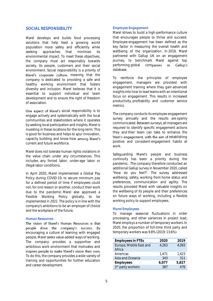# **SOCIAL RESPONSIBILITY**

Marel develops and builds food processing solutions that help feed a growing world population more safely and efficiently while seeking approaches that minimize its environmental impact. To meet these objectives, the company must act responsibly towards society, its people, customers and their social environment. Social responsibility is a priority of Marel's corporate culture, meaning that the company is dedicated to providing a safe and healthy working environment that fosters diversity and inclusion. Marel believes that it is essential to support individual and team development and to ensure the right of freedom of association.

One aspect of Marel's social responsibility is to engage actively and systematically with the local communities and stakeholders where it operates by seeking local participation and insights. Marel is investing in these locations for the long-term. This is good for business and helps to spur innovation, capacity building and know-how among Marel's current and future workforce.

Marel does not tolerate human rights violations in the value chain under any circumstances. This includes any forced labor, under-age labor or illegal labor conditions.

In April 2020, Marel implemented a Global Pay Policy during COVID-19, to secure minimum pay for a defined period of time if employees could not, for one reason or another, conduct their work due to the pandemic. Marel also approved a Flexible Working Policy globally, to be implemented in 2021. The policy is in line with the company's ambitions to be an employer of choice and the workplace of the future.

## *Human Resources*

The vision of Marel's Human Resources is that people drive the company's success. By encouraging a culture of learning with engaged people, Marel seeks value-added ways of working. The company provides a supportive and ambitious work environment that motivates and inspires people to make Marel's vision their own. To do this, the company provides a wide variety of training and opportunities for further education and career development.

# *Employee Engagement*

Marel strives to build a high-performance culture that encourages people to thrive and succeed. Employee engagement has been defined as the key factor in measuring the overall health and wellbeing of the organization. In 2019, Marel partnered with Gallup UK on an engagement journey, to benchmark Marel against top performing global companies in Gallup's database.

To reinforce the principles of employee engagement, managers are provided with engagement training where they gain advanced insights into how to lead teams with an intentional focus on engagement. This results in increased productivity, profitability and customer service metrics.

The company conducts its employee engagement survey annually and the results are openly communicated. Between surveys, all managers are required to identify specific engagement actions they and their team can take to enhance the team's engagement, with the aim of establishing positive and consistent engagement habits at work.

Safeguarding Marel's people and business continuity has been a priority during the pandemic. The company therefore conducted an additional Gallup survey in November 2020, called "How do you feel?". The survey addressed wellbeing, safety, working from home status and preferences, communication and agility. The results provided Marel with valuable insights on the wellbeing of its people and their preferences on future ways of working, including a flexible working policy to support employees.

#### *Marel Employees*

To manage seasonal fluctuations in order processing, and other variances in project load, Marel employs a number of temporary workers. In 2020, the proportion of full-time third party and temporary workers was 9.8% (2019: 13.6%).

| <b>Employees in FTEs</b> | 2020  | 2019  |
|--------------------------|-------|-------|
| Europe, Middle East and  | 4,263 | 4,093 |
| Africa                   |       |       |
| Americas                 | 1.471 | 1,423 |
| Asia and Oceania         | 343   | 311   |
| Employees                | 6,077 | 5,827 |
| 3rd party workers        | 387   | 476   |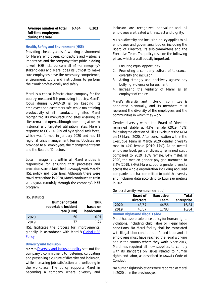| Average number of total | 6.464 | 6.303 |
|-------------------------|-------|-------|
| full-time employees     |       |       |
| during the year         |       |       |

#### *Health, Safety and Environment (HSE)*

Providing a healthy and safe working environment for Marel's employees, contractors and visitors is imperative, and the company takes pride in doing it well. HSE risks concern all of the company's stakeholders and Marel does its utmost to make sure employees have the necessary competence, environment, tools and instructions to perform their work professionally and safely.

Marel is a critical infrastructure company for the poultry, meat and fish processing industry. Marel's focus during COVID-19 is on keeping its employees and customers safe, while maintaining productivity of all manufacturing sites. Marel reorganized its manufacturing sites ensuring all sites remained open, although operating at below historical and targeted utilization rates. Marel´s response to COVID-19 is led by a global task force, which was formed in January 2020 and has 15 regional crisis management teams. Updates are provided to all employees, the management team and the Board of Directors.

Local management within all Marel entities is responsible for ensuring that processes and procedures are established to comply with Marel's HSE policy and local laws. Although there were travel restrictions in 2020, Marel continued to train employees remotely through the company's HSE program.

#### *HSE statistics*

|      | Number of total     | <b>TRIR</b> |
|------|---------------------|-------------|
|      | reportable incident | based on    |
|      | rate (TRIR)         | headcount   |
| 2020 | 60                  | 0.91        |
| 2019 | 72                  | 1 24        |

HSE facilitates the process for improvements, globally, in accordance with Marel's Global HSE [Policy.](https://marel.com/media/4m1n2txw/hse-policy-nov-2020.pdf) 

# *Diversity and Inclusion*

Marel's [Diversity and Inclusion policy](https://marel.com/media/41wmsszp/marel-s-diversity-policy.pdf) sets out the company's commitment to fostering, cultivating and preserving a culture of diversity and inclusion, while increasing job satisfaction and wellbeing in the workplace. The policy supports Marel in becoming a company where diversity and

inclusion are recognized and valued, and all employees are treated with respect and dignity.

Marel's diversity and inclusion policy applies to all employees and governance bodies, including the Board of Directors, its sub-committees and the Executive Team. The policy rests on the following pillars, which are all equally important:

- 1. Ensuring equal opportunity
- 2. Promoting a company culture of tolerance, diversity and inclusion
- 3. Acting strongly and decisively against any bullying, violence or harassment
- 4. Increasing the visibility of Marel as an employer of choice

Marel's diversity and inclusion committee is appointed biannually, and its members must represent the diversity of the employees and the communities in which they work.

Gender diversity within the Board of Directors remained stable at 43% female (2019: 43%) following the election of Lillie Li Valeur at the AGM on 18 March 2020. After consolidation within the Executive Team in March 2020 gender diversity rose to 44% female (2019: 17%). At an overall employee level, gender diversity remained static compared to 2019 (16% female, 84% male). In 2020, the median gender pay gap narrowed to 3.4% (2019: 8.4%). Marel supports gender diversity across the whole organization including acquired companies and has committed to publish diversity and inclusion data according to Equileap metrics in 2021.

#### *Gender diversity (women/men ratio)*

|      | Board of         | Executive | Total      |
|------|------------------|-----------|------------|
|      | <b>Directors</b> | Team      | enterprise |
| 2020 | 43/57            | 44/56     | 16/84      |
| 2019 | 43/57            | 17/83     | 16/84      |
|      |                  |           |            |

# *Human Rights and Illegal Labor*

Marel has a zero-tolerance policy for human rights violations, including child labor or illegal labor conditions. No Marel facility shall be associated with illegal labor conditions or forced labor and all employees must have reached the legal working age in the country where they work. Since 2017, Marel has required all new suppliers to comply with its standards on issues related to human rights and labor, as described in Marel's Code of Conduct.

No human rights violations were reported at Marel in 2020 or in the previous year.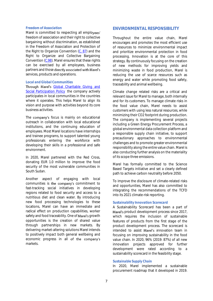# *Freedom of Association*

Marel is committed to respecting all employees' freedom of association and their right to collective bargaining without discrimination, as established in the Freedom of Association and Protection of the Right to Organize Convention [\(C. 87\)](http://www.ilo.org/dyn/normlex/en/f?p=NORMLEXPUB:12100:0::NO::P12100_INSTRUMENT_ID:312232) and the Right to Organize and Collective Bargaining Convention [\(C.98\)](http://www.ilo.org/dyn/normlex/en/f?p=NORMLEXPUB:12100:0::NO::P12100_INSTRUMENT_ID:312243). Marel ensures that these rights can be exercised by all employees, business partners and those directly associated with Marel's services, products and operations.

## *Local and Global Communities*

Through Marel's Global Charitable Giving and [Social Participation Policy](https://marel.com/en/about-marel/corporate-social-responsibility/social-participation-guidelines) the company actively participates in local communities in the countries where it operates. This helps Marel to align its vision and purpose with activities beyond its core business activities.

The company's focus is mainly on educational outreach in collaboration with local educational institutions, and the continuing education of employees. Most Marel locations have internships and trainee programs, to support talented young professionals entering the workforce with developing their skills in a professional and safe environment.

In 2020, Marel partnered with the Red Cross, donating EUR 1.0 million to improve the food security of the most vulnerable communities in South Sudan.

Another aspect of engaging with local communities is the company's commitment to fast-tracking social initiatives in developing regions related to food security and access to a nutritious diet and clean water. By introducing new food processing technologies to these locations, Marel can have an immediate and radical effect on production capabilities, worker safety and food traceability. One of Marel's growth opportunities is the creation of shared value through partnerships in new markets. By delivering market-altering solutions Marel intends to positively impact both general wellbeing and economic progress in all of the company's markets.

# **ENVIRONMENTAL RESPONSIBILITY**

Throughout the entire value chain, Marel encourages and promotes the most efficient use of resources to minimize environmental impact and prioritize environmental protection in food processing. Innovation is at the core of this strategy. By continuously focusing on the creation of new methods for improving yields and minimizing waste in food production, Marel is reducing the use of scarce resources such as energy and water while promoting food safety, traceability and animal wellbeing.

Climate change related risks are a critical and relevant issue for Marel to manage, both internally and for its customers. To manage climate risks in the food value chain, Marel needs to assist customers with using less natural resources, while minimizing their CO2 footprint during production. The company is implementing several projects including a Green Energy Procurement Process, a global environmental data collection platform and a responsible supply chain initiative, to support precautionary approaches to environmental challenges and to promote greater environmental responsibility along the entire value chain. Marel is also conducting further analysis on the materiality of its scope three emissions.

Marel has formally committed to the Science Based Targets initiative and set a clearly defined path to achieve carbon neutrality before 2050.

To improve the disclosure of climate-related risks and opportunities, Marel has also committed to integrating the recommendations of the TCFD into its 2021 climate-risk reporting.

## *Sustainability Innovation Scorecard*

A Sustainability Scorecard has been a part of Marel's product development process since 2017, which requires the inclusion of sustainable features of products from the first stage of the product development process. The scorecard is intended to assist Marel's innovation team in focusing on improving sustainability in the food value chain. In 2020, 96% (2019: 87%) of all new innovation projects approved for further development were rated according to a sustainability scorecard in the feasibility stage.

# *Sustainable Supply Chain*

In 2020, Marel implemented a sustainable procurement roadmap that it developed in 2019.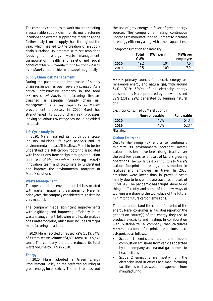The company continues to work towards creating a sustainable supply chain for its manufacturing locations and external supply base. Marel has done further analysis on its supply chain throughout the year, which has led to the creation of a supply chain sustainability program with set ambitions focusing on energy, waste management, transportation, health and safety, and social conduct at Marel's manufacturing locations as well as in Marel's partnerships with suppliers globally.

# *Supply Chain Risk Management*

During the pandemic the importance of supply chain resilience has been severely stressed. As a critical infrastructure company in the food industry all of Marel's manufacturing sites are classified as essential. Supply chain risk management is a key capability in Marel's procurement processes. In 2020 Marel has strengthened its supply chain risk processes, looking at various risk categories including critical materials.

# *Life Cycle Analysis*

In 2020, Marel finalized its fourth core crossindustry solutions life cycle analysis and its environmental impact. This allows Marel to better understand the full carbon footprint associated with its solutions, from design through production until end-of-life, therefore enabling Marel's innovation team and customers to understand and improve the environmental footprint of Marel's solutions.

#### *Waste Management*

The operational and environmental risk associated with waste management is material for Marel. In prior years, the company considered this risk to be very material.

The company made significant improvements with digitizing and improving efficiency in its waste management, following a full-scale analysis of its waste footprint, which now includes all major manufacturing locations.

In 2020, Marel recycled or reused 72% (2019: 74%) of its total waste volume of 4,808 tons (2019: 5,573 tons). The company therefore reduced its total waste volume by 14% in 2020.

#### *Energy*

In 2020 Marel adopted a Green Energy Procurement Policy on the preferred sourcing of green energy for electricity. The aim is to phase out

the use of grey energy, in favor of green energy sources. The company is making continuous upgrades to manufacturing equipment to increase its energy efficiency along with other capabilities.

#### *Energy consumption and intensity*

|      | Total | KWh per $m2$ | MWh per  |
|------|-------|--------------|----------|
|      | GWh   |              | employee |
| 2020 | 49.2  | 104          | 7.6      |
| 2019 | 49.5  | 109          | 7 Q      |

Marel's primary sources for electric energy are renewable energy and natural gas, with around 54% (2019: 52%\*) of all electricity energy consumed by Marel produced by renewables and 22% (2019: 29%) generated by burning natural gas.

#### *Electricity consumed by Marel by origin*

|            | Non-renewable | Renewable |
|------------|---------------|-----------|
| 2020       | 46%           | 54%       |
| 2019       | 48%           | $52\%$ *  |
| *Restated. |               |           |

#### *Carbon Emissions*

Despite the company's efforts to continually minimize its environmental footprint, overall carbon emissions have been rising steadily over the past few years, as a result of Marel's growing operations. The two largest contributors to Marel's carbon footprint are energy consumption in facilities and employee air travel. In 2020, emissions were lower than in previous years mainly due to less employee travel as a result of COVID-19. The pandemic has taught Marel to do things differently and some of the new ways of working are shaping the workplace of the future, minimizing future carbon emissions.

To better understand the carbon footprint of the energy Marel consumes, all facilities report on the generation source(s) of the energy they use to produce electricity and heating. In collaboration with Sustainalize, a company that calculates Marel's carbon footprint, emissions are categorized as follows:

- Scope 1 emissions are from mobile combustion emissions from vehicles operated by the company and natural gas burned to heat facilities.
- Scope 2 emissions are mostly from the electricity used in offices and manufacturing facilities as well as waste management from manufacturing.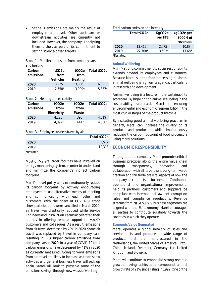Scope 3 emissions are mainly the result of employee air travel. Other upstream or downstream activities are currently not included. However, the company is analyzing them further, as part of its commitment to setting science-based targets.

| Scope 1 – Mobile combustion from company cars |  |
|-----------------------------------------------|--|
| and heating                                   |  |

| Carbon    | tCO <sub>2e</sub> | tCO2e    | Total tCO <sub>2e</sub> |
|-----------|-------------------|----------|-------------------------|
| emissions | from              | from     |                         |
|           | Vehicles          | Heating  |                         |
| 2020      | 3.235             | 3.086    | 6.321                   |
| 2019      | $2.758*$          | $3.099*$ | $5.857*$                |

*Scope 2 Heating and electricity*

| Carbon    | tCO <sub>2e</sub> | tCO2e | Total tCO <sub>2e</sub> |
|-----------|-------------------|-------|-------------------------|
| emissions | from              | from  |                         |
|           | Electricity       | Waste |                         |
| 2020      | 4.126             | 393   | 4.519                   |
| 2019      | 4.094*            | 444*  | 4.538*                  |

# *Scope 3 Employee business travel by air*

|                   | Total tCO2e |
|-------------------|-------------|
| 2020              | 2,572       |
| 2019              | 12,313      |
| <i>*Restated.</i> |             |

Most of Marel's larger facilities have installed an energy monitoring system, in order to understand and minimize the company's indirect carbon footprint.

Marel's travel policy aims to continuously reduce its carbon footprint by actively encouraging employees to use alternative means of meeting and communicating with each other and customers. With the onset of COVID-19, trade show participations were cancelled in March 2020, air travel was drastically reduced while Service Engineers and Installation Teams accelerated their journey in offering remote support to Marel's customers and colleagues. As a result, emissions from air travel decreased by 79% in 2020. Some air travel was replaced by travel in company cars, resulting in 17% higher carbon emissions from company cars in 2020. In a year of COVID-19 total carbon emissions have decreased by 41% in 2020 as currently measured. Going forward emissions from air travel are likely to increase as trade show activities and general business travel will pick up again. Marel will look to preserve some of the emissions savings through new ways of working.

## *Total carbon emission and intensity*

|                  | Total tCO2e | KgCO <sub>2e</sub> | kgCO2e per |
|------------------|-------------|--------------------|------------|
|                  |             | per FTE            | 1000 € of  |
|                  |             |                    | revenues   |
| 2020             | 13.412      | 2.075              | 10.83      |
| 2019             | 22.708*     | $3.603*$           | $17.68*$   |
| <i>*Restated</i> |             |                    |            |

# *Animal Wellbeing*

Marel's strong commitment to social responsibility extends beyond its employees and customers. Because Marel is in the food processing business, animal wellbeing is high on its agenda, particularly in research and development.

Animal wellbeing is a feature in the sustainability scorecard. By highlighting animal wellbeing in the sustainability scorecard, Marel is ensuring environmental and economic responsibility in the most crucial stages of the product lifecycle.

By instituting good animal wellbeing practices in general, Marel can increase the quality of its products and production while simultaneously reducing the carbon footprint of food processors using Marel solutions.

# **ECONOMIC RESPONSIBILITY**

Throughout the company, Marel promotes ethical business practices along the entire value chain through transparency, innovation and collaboration with all its partners. Long-term value creation and fair trade are vital aspects of how the company conducts business. Continuous operational and organizational improvements help its partners, customers and suppliers be compliant with international law, anti-corruption rules and compliance regulations. Revenue streams from all of Marel's business segments are aligned with the EU taxonomy. Marel encourages all parties to contribute equitably towards the societies in which they operate.

# *Economic Value Generated*

Marel operates a global network of sales and service units and produces a wide range of products that are manufactured in the Netherlands, the United States of America, Brazil, China, Iceland, Denmark, Germany, the United Kingdom and Slovakia.

Marel will continue to emphasize strong revenue growth, having achieved a compound annual growth rate of 21% since listing in 1992. One of the